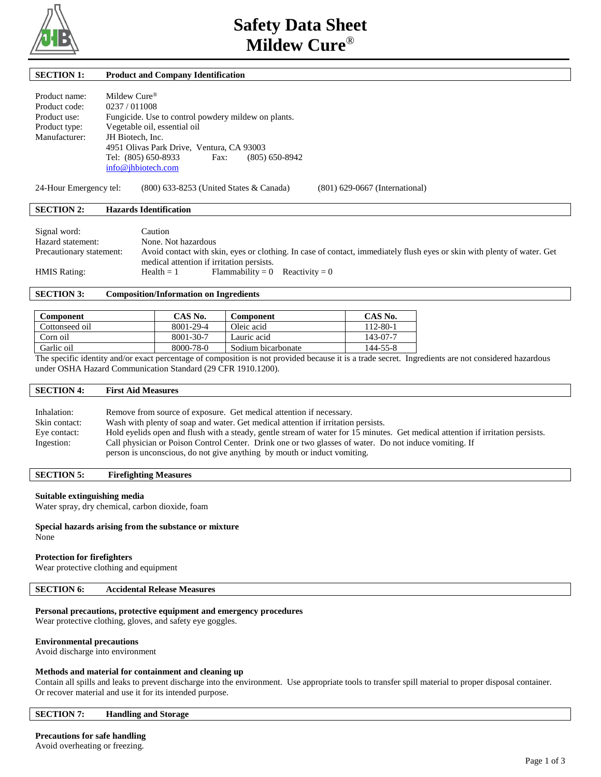

# **SECTION 1: Product and Company Identification**

| Product name: | Mildew Cure <sup>®</sup>                            |
|---------------|-----------------------------------------------------|
| Product code: | 0237/011008                                         |
| Product use:  | Fungicide. Use to control powdery mildew on plants. |
| Product type: | Vegetable oil, essential oil                        |
| Manufacturer: | JH Biotech, Inc.                                    |
|               | 4951 Olivas Park Drive, Ventura, CA 93003           |
|               | Tel: (805) 650-8933<br>$(805) 650 - 8942$<br>Fax:   |
|               | info@jhbiotech.com                                  |

24-Hour Emergency tel: (800) 633-8253 (United States & Canada) (801) 629-0667 (International)

### **SECTION 2: Hazards Identification**

| Signal word:             | Caution                                                                                                                 |
|--------------------------|-------------------------------------------------------------------------------------------------------------------------|
| Hazard statement:        | None. Not hazardous                                                                                                     |
| Precautionary statement: | Avoid contact with skin, eyes or clothing. In case of contact, immediately flush eyes or skin with plenty of water. Get |
|                          | medical attention if irritation persists.                                                                               |
| <b>HMIS Rating:</b>      | Flammability = 0 Reactivity = 0<br>$Health = 1$                                                                         |

# **SECTION 3: Composition/Information on Ingredients**

| <b>Component</b> | CAS No.   | Component          | CAS No.  |
|------------------|-----------|--------------------|----------|
| Cottonseed oil   | 8001-29-4 | Oleic acid         | 112-80-1 |
| Corn oil         | 8001-30-7 | Lauric acid        | 143-07-7 |
| Garlic oil       | 8000-78-0 | Sodium bicarbonate | 144-55-8 |
|                  |           |                    |          |

The specific identity and/or exact percentage of composition is not provided because it is a trade secret. Ingredients are not considered hazardous under OSHA Hazard Communication Standard (29 CFR 1910.1200).

# **SECTION 4: First Aid Measures**  Inhalation: Remove from source of exposure. Get medical attention if necessary. Skin contact: Wash with plenty of soap and water. Get medical attention if irritation persists. Eye contact: Hold eyelids open and flush with a steady, gentle stream of water for 15 minutes. Get medical attention if irritation persists. Ingestion: Call physician or Poison Control Center. Drink one or two glasses of water. Do not induce vomiting. If person is unconscious, do not give anything by mouth or induct vomiting.

# **SECTION 5: Firefighting Measures**

#### **Suitable extinguishing media**

Water spray, dry chemical, carbon dioxide, foam

#### **Special hazards arising from the substance or mixture** None

# **Protection for firefighters**

Wear protective clothing and equipment

### **SECTION 6: Accidental Release Measures**

### **Personal precautions, protective equipment and emergency procedures**

Wear protective clothing, gloves, and safety eye goggles.

#### **Environmental precautions**

Avoid discharge into environment

### **Methods and material for containment and cleaning up**

Contain all spills and leaks to prevent discharge into the environment. Use appropriate tools to transfer spill material to proper disposal container. Or recover material and use it for its intended purpose.

#### **SECTION 7: Handling and Storage**

# **Precautions for safe handling**

Avoid overheating or freezing.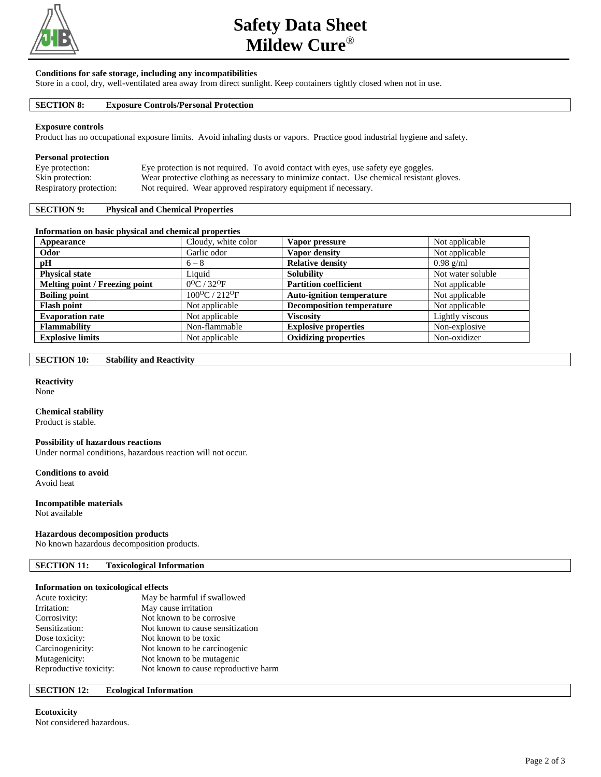

# **Safety Data Sheet Mildew Cure**®

### **Conditions for safe storage, including any incompatibilities**

Store in a cool, dry, well-ventilated area away from direct sunlight. Keep containers tightly closed when not in use.

### **SECTION 8: Exposure Controls/Personal Protection**

#### **Exposure controls**

Product has no occupational exposure limits. Avoid inhaling dusts or vapors. Practice good industrial hygiene and safety.

## **Personal protection**

| Eye protection:         | Eye protection is not required. To avoid contact with eyes, use safety eye goggles.       |
|-------------------------|-------------------------------------------------------------------------------------------|
| Skin protection:        | Wear protective clothing as necessary to minimize contact. Use chemical resistant gloves. |
| Respiratory protection: | Not required. Wear approved respiratory equipment if necessary.                           |

# **SECTION 9: Physical and Chemical Properties**

# **Information on basic physical and chemical properties**

| Appearance                     | Cloudy, white color                  | Vapor pressure                   | Not applicable    |
|--------------------------------|--------------------------------------|----------------------------------|-------------------|
| Odor                           | Garlic odor                          | Vapor density                    | Not applicable    |
| pH                             | $6 - 8$                              | <b>Relative density</b>          | $0.98$ g/ml       |
| <b>Physical state</b>          | Liquid                               | <b>Solubility</b>                | Not water soluble |
| Melting point / Freezing point | $0^{O}C / 32^{O}F$                   | <b>Partition coefficient</b>     | Not applicable    |
| <b>Boiling point</b>           | $100^{\circ}$ C / 212 <sup>o</sup> F | <b>Auto-ignition temperature</b> | Not applicable    |
| <b>Flash point</b>             | Not applicable                       | <b>Decomposition temperature</b> | Not applicable    |
| <b>Evaporation rate</b>        | Not applicable                       | Viscositv                        | Lightly viscous   |
| <b>Flammability</b>            | Non-flammable                        | <b>Explosive properties</b>      | Non-explosive     |
| <b>Explosive limits</b>        | Not applicable                       | <b>Oxidizing properties</b>      | Non-oxidizer      |

## **SECTION 10: Stability and Reactivity**

# **Reactivity**

None

## **Chemical stability**

Product is stable.

#### **Possibility of hazardous reactions**

Under normal conditions, hazardous reaction will not occur.

#### **Conditions to avoid** Avoid heat

# **Incompatible materials**

Not available

## **Hazardous decomposition products**

No known hazardous decomposition products.

# **SECTION 11: Toxicological Information**

# **Information on toxicological effects**

| Acute toxicity:        | May be harmful if swallowed          |
|------------------------|--------------------------------------|
| Irritation:            | May cause irritation                 |
| Corrosivity:           | Not known to be corrosive.           |
| Sensitization:         | Not known to cause sensitization     |
| Dose toxicity:         | Not known to be toxic                |
| Carcinogenicity:       | Not known to be carcinogenic         |
| Mutagenicity:          | Not known to be mutagenic            |
| Reproductive toxicity: | Not known to cause reproductive harm |
|                        |                                      |

# **SECTION 12: Ecological Information**

# **Ecotoxicity**

Not considered hazardous.